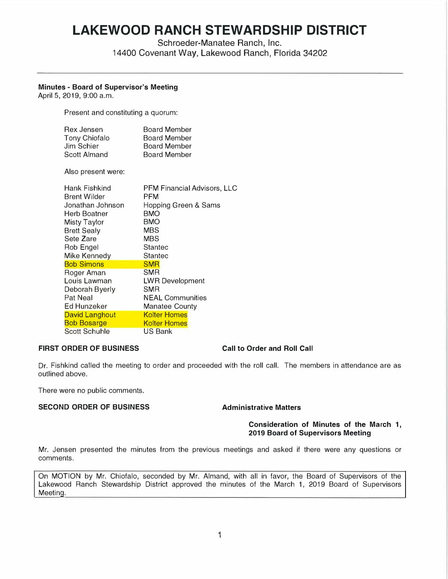# **LAKEWOOD RANCH STEWARDSHIP DISTRICT**

Schroeder-Manatee Ranch, Inc.

14400 Covenant Way, Lakewood Ranch, Florida 34202

# **Minutes - Board of Supervisor's Meeting**

April 5, 2019, 9:00 a.m.

Present and constituting a quorum:

| <b>Board Member</b> |
|---------------------|
| <b>Board Member</b> |
| <b>Board Member</b> |
| <b>Board Member</b> |
|                     |

Also present were:

| <b>PFM Financial Advisors, LLC</b><br>PFM<br>Hopping Green & Sams<br><b>BMO</b> |
|---------------------------------------------------------------------------------|
| <b>BMO</b>                                                                      |
| <b>MBS</b>                                                                      |
| <b>MBS</b>                                                                      |
| Stantec                                                                         |
| Stantec                                                                         |
| <b>SMR</b>                                                                      |
| SMR                                                                             |
| <b>LWR Development</b>                                                          |
| <b>SMR</b>                                                                      |
| <b>NEAL Communities</b>                                                         |
| <b>Manatee County</b>                                                           |
| <b>Kolter Homes</b>                                                             |
| <b>Kolter Homes</b>                                                             |
| <b>US Bank</b>                                                                  |
|                                                                                 |

# **FIRST ORDER OF BUSINESS Call to Order and Roll Call**

Dr. Fishkind called the meeting to order and proceeded with the roll call. The members in attendance are as outlined above.

There were no public comments.

# **SECOND ORDER OF BUSINESS Administrative Matters**

# **Consideration of Minutes of the March 1, 2019 Board of Supervisors Meeting**

Mr. Jensen presented the minutes from the previous meetings and asked if there were any questions or comments.

On MOTION by Mr. Chiofalo, seconded by Mr. Almand, with all in favor, the Board of Supervisors of the Lakewood Ranch Stewardship District approved the minutes of the March 1, 2019 Board of Supervisors Meeting.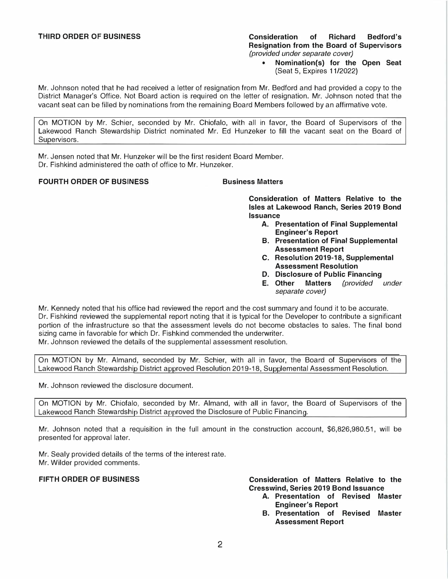### **THIRD ORDER OF BUSINESS Consideration of Richard Bedford's Resignation from the Board of Supervisors**  *(provided under separate cover)*

**• Nomination(s) for the Open Seat (Seat 5, Expires 11/2022)** 

**Mr. Johnson noted that he had received a letter of resignation from Mr. Bedford and had provided a copy to the District Manager's Office. Not Board action is required on the letter of resignation. Mr. Johnson noted that the vacant seat can be filled by nominations from the remaining Board Members followed by an affirmative vote.** 

**On MOTION by Mr. Schier, seconded by Mr. Chiofalo, with all in favor, the Board of Supervisors of the Lakewood Ranch Stewardship District nominated Mr. Ed Hunzeker to fill the vacant seat on the Board of Supervisors.** 

**Mr. Jensen noted that Mr. Hunzeker will be the first resident Board Member. Dr. Fishkind administered the oath of office to Mr. Hunzeker.** 

# **FOURTH ORDER OF BUSINESS BUSINESS Business Matters**

**Consideration of Matters Relative to the Isles at Lakewood Ranch, Series 2019 Bond Issuance** 

- **A. Presentation of Final Supplemental Engineer's Report**
- **8. Presentation of Final Supplemental Assessment Report**
- **C. Resolution 2019-18, Supplemental Assessment Resolution**
- **D. Disclosure of Public Financing**
- **E. Other Matters** *(provided under separate cover)*

**Mr. Kennedy noted that his office had reviewed the report and the cost summary and found it to be accurate. Dr. Fishkind reviewed the supplemental report noting that it is typical for the Developer to contribute a significant portion of the infrastructure so that the assessment levels do not become obstacles to sales. The final bond sizing came in favorable for which Dr. Fishkind commended the underwriter.** 

**Mr. Johnson reviewed the details of the supplemental assessment resolution.** 

Lakewood Ranch Stewardship District approved Resolution 2019-18, Supplemental Assessment Resolution. **On MOTION by Mr. Almand, seconded by Mr. Schier, with all in favor, the Board of Supervisors of the** 

**Mr. Johnson reviewed the disclosure document.** 

**On MOTION by Mr. Chiofalo, seconded by Mr. Almand, with all in favor, the Board of Supervisors of the**  Lakewood Ranch Stewardshin District approved the Disclosure of Public Financing.

**Mr. Johnson noted that a requisition in the full amount in the construction account, \$[6,826,980.51,](https://6,826,980.51) will be presented for approval later.** 

**Mr. Sealy provided details of the terms of the interest rate. Mr. Wilder provided comments.** 

**FIFTH ORDER OF BUSINESS Consideration of Matters Relative to the Cresswind, Series 2019 Bond Issuance** 

- **A. Presentation of Revised Master Engineer's Report**
- **B. Presentation of Revised Master Assessment Report**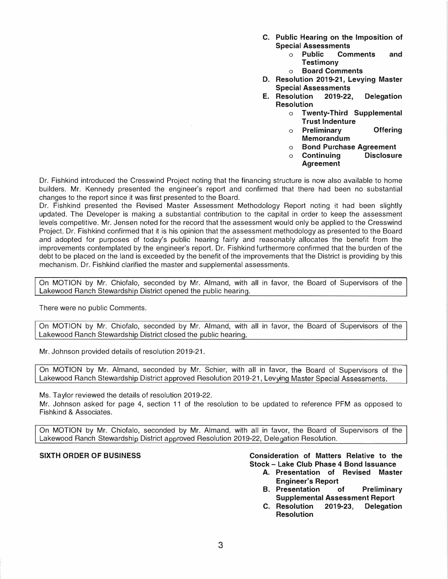- **C. Public Hearing on the Imposition of Special Assessments** 
	- **o Public Comments and Testimony**
	- **o Board Comments**
- **D. Resolution 2019-21, Levying Master Special Assessments**
- **E. Resolution 2019-22, Delegation Resolution** 
	- **o Twenty-Third Supplemental Trust Indenture**
	- **o Preliminary Offering Memorandum**
	- **o Bond Purchase Agreement**
	- **o Continuing Disclosure Agreement**

**Dr. Fishkind introduced the Cresswind Project noting that the financing structure is now also available to home**  builders. Mr. Kennedy presented the engineer's report and confirmed that there had been no substantial **changes to the report since it was first presented to the Board.** 

*D***r. Fish***k***ind presented the Revised Master Assessment Methodology Report noting it had been slightly updated. The** *D***eveloper is ma***k***ing a substantial contribution to the capital in order to** *k***eep the assessment levels competitive. Mr. Jensen noted for the record that the assessment would only be applied to the Cresswind Project.** *D***r. Fish***k***ind confirmed that it is his opinion that the assessment methodology as presented to the Board and adopted for purposes of today's public hearing fairly and reasonably allocates the benefit from the improvements contemplated by the engineer's report.** *D***r. Fish***k***ind furthermore confirmed that the burden of the debt to be placed on the land is exceeded by the benefit of the improvements that the** *D***istrict is providing by this mechanism.** *D***r. Fishkind clarified the master and supplemental assessments.** 

**On MOTION by Mr. Chiofalo, seconded by Mr. Almand, with all in favor, the Board of Supervisors of the Lakewood Ranch Stewardship District opened the public hearing.** 

**There were no public Comments.** 

**On MOTION by Mr. Chiofalo, seconded by Mr. Almand, with all in favor, the Board of Supervisors of the Lakewood Ranch Stewardship District closed the public hearing.** 

**Mr. Johnson provided details of resolution 2019-21.** 

On MOTION by Mr. Almand, seconded by Mr. Schier, with all in favor, the Board of Supervisors of the Lakewood Ranch Stewardship District approved Resolution 2019-21, Levying Master Special Assessments.

**Ms. Taylor reviewed the details of resolution 2019-22.** 

**Mr. Johnson as***k***ed for page 4, section 11 of the resolution to be updated to reference PFM as opposed to Fishkind & Associates.** 

**On MOTION by Mr. Chiofalo, seconded by Mr. Almand, with all in favor, the Board of Supervisors of the**  Lakewood Ranch Stewardship District approved Resolution 2019-22, Delegation Resolution.

### **SIXTH ORDER OF BUSINESS Consideration of Matters Relative to the Stock - Lake Club Phase 4 Bond Issuance**

- **A. Presentation of Revised Master Engineer's Report**
- **B. Presentation of Preliminary**
- **Supplemental Assessment Report C.** Resolution **Resolution**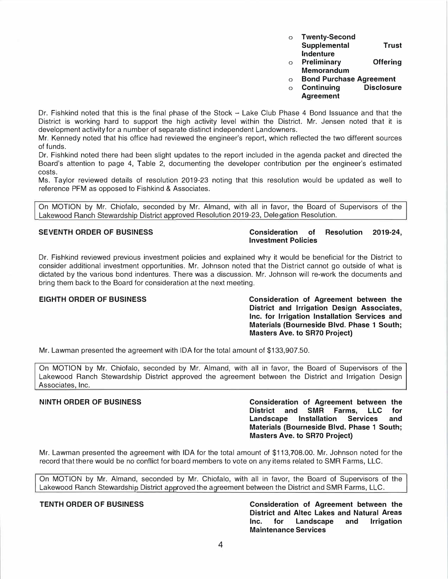| O | <b>Twenty-Second</b> |              |
|---|----------------------|--------------|
|   | Supplemental         | <b>Trust</b> |
|   | Indenture            |              |

- **o Preliminary Offering Memorandum**
- **o Bond Purchase Agreement**
- **o** Continuing **Agreement**

**Dr. Fishkind noted that this is the final phase of the Stock - Lake Club Phase 4 Bond Issuance and that the District is working hard to support the high activity level within the District. Mr. Jensen noted that it is development activity for a number of separate distinct independent Landowners.** 

**Mr. Kennedy noted that his office had reviewed the engineer's report, which reflected the two different sources of funds.** 

**Dr. Fishkind noted there had been slight updates to the report included in the agenda packet and directed the Board's attention to page 4, Table 2, documenting the developer contribution per the engineer's estimated costs.** 

**Ms. Taylor reviewed details of resolution 2019-23 noting that this resolution would be updated as well to reference PFM as opposed to Fishkind & Associates.** 

Lakewood Ranch Stewardship District approved Resolution 2019-23, Delegation Resolution. **On MOTION by Mr. Chiofalo, seconded by Mr. Almand, with all in favor, the Board of Supervisors of the** 

# **SEVENTH ORDER OF BUSINESS Consideration of Resolution 2019-24, Investment Policies**

**Dr. Fishkind reviewed previous investment policies and explained why it would be beneficial for the District to consider additional investment opportunities. Mr. Johnson noted that the District cannot go outside of what is dictated by the various bond indentures. There was a discussion. Mr. Johnson will re-work the documents and bring them back to the Board for consideration at the next meeting.** 

**EIGHTH ORDER OF BUSINESS Consideration of Agreement between the District and Irrigation Design Associates, Inc. for Irrigation Installation Services and Materials (Bourneside Blvd. Phase 1 South; Masters Ave. to SR70 Project)** 

**Mr. Lawman presented the agreement with IDA for the total amount of [\\$133,907.50](https://133,907.50).** 

**On MOTION by Mr. Chiofalo, seconded by Mr. Almand, with all in favor, the Board of Supervisors of the Lakewood Ranch Stewardship District approved the agreement between the District and Irrigation Design Associates, Inc.** 

# **NINTH ORDER OF BUSINESS Consideration of Agreement between the District And SMR Farms, LLC for**<br>**District and Services** and **Landscape Materials (Bourneside Blvd. Phase 1 South; Masters Ave. to SR70 Project)**

**Mr. Lawman presented the agreement with IDA for the total amount of \$[113,708.00](https://113,708.00). Mr. Johnson noted for the record that there would be no conflict for board members to vote on any items related to SMR Farms, LLC.** 

**On MOTION by Mr. Almand, seconded by Mr. Chiofalo, with all in favor, the Board of Supervisors of the**  Lakewood Ranch Stewardship District approved the agreement between the District and SMR Farms, LLC.

**TENTH ORDER OF BUSINESS Consideration of Agreement between the District and Altec Lakes and Natural Areas Inc. for Landscape and Irrigation Maintenance Services**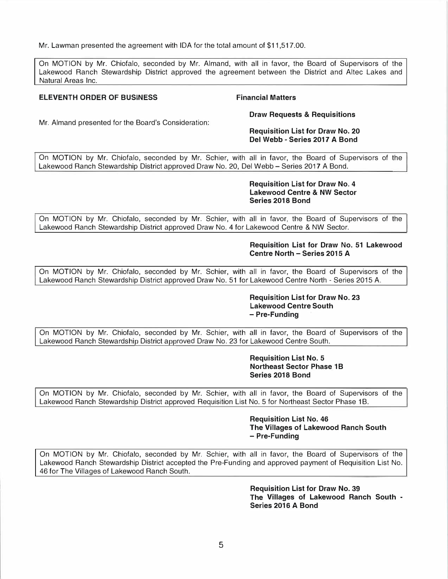**Mr. Lawman presented the agreement with IDA for the total amount of [\\$11,517.00](https://11,517.00).** 

**On MOTION by Mr. Chiofalo, seconded by Mr. Almand, with all in favor, the Board of Supervisors of the Lakewood Ranch Stewardship District approved the agreement between the District and Altec Lakes and Natural Areas Inc.** 

## **ELEVENTH ORDER OF BUSINESS**

# **Financial Matters**

**Mr. Almand presented for the Board's Consideration:** 

# **Draw Requests & Requisitions**

### **Requisition List for Draw No. 20 Del Webb - Series 2017 A Bond**

**On MOTION by Mr. Chiofalo, seconded by Mr. Schier, with all in favor, the Board of Supervisors of the Lakewood Ranch Stewardship District approved Draw No. 20, Del Webb - Series 2017 A Bond.** 

> **Requisition List for Draw No. 4 Lakewood Centre & NW Sector Series 2018 Bond**

**On MOTION by Mr. Chiofalo, seconded by Mr. Schier, with all in favor, the Board of Supervisors of the Lakewood Ranch Stewardship District approved Draw No. 4 for Lakewood Centre & NW Sector.** 

### **Requisition List for Draw No. 51 Lakewood Centre North - Series 2015 A**

**On MOTION by Mr. Chiofalo, seconded by Mr. Schier, with all in favor, the Board of Supervisors of the Lakewood Ranch Stewardship District approved Draw No. 51 for Lakewood Centre North - Series 2015 A.** 

# **Requisition List for Draw No. 23 Lakewood Centre South - Pre-Funding**

**On MOTION by Mr. Chiofalo, seconded by Mr. Schier, with all in favor, the Board of Supervisors of the**  Lakewood Ranch Stewardship District approved Draw No. 23 for Lakewood Centre South.

> **Requisition List No. 5 Northeast Sector Phase 1B Series 2018 Bond**

**On MOTION by Mr. Chiofalo, seconded by Mr. Schier, with all in favor, the Board of Supervisors of the**  Lakewood Ranch Stewardship District approved Requisition List No. 5 for Northeast Sector Phase 1B.

> **Requisition List No. 46 The Villages of Lakewood Ranch South - Pre-Funding**

**On MOTION by Mr. Chiofalo, seconded by Mr. Schier, with all in favor, the Board of Supervisors of the Lakewood Ranch Stewardship District accepted the Pre-Funding and approved payment of Requisition List No. 46 for The Villages of Lakewood Ranch South.** 

> **Requisition List for Draw No. 39 The Villages of Lakewood Ranch South - Series 2016 A Bond**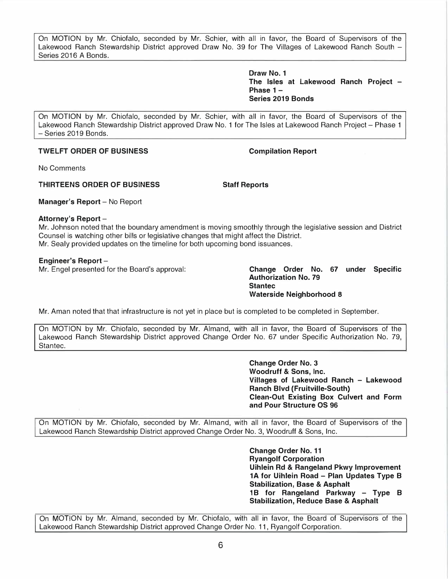**On MOTION by Mr. Chiofalo, seconded by Mr. Schier, with all in favor, the Board of Supervisors of the Lakewood Ranch Stewardship District approved Draw No. 39 for The Villages of Lakewood Ranch South - Series 2016 A Bonds.** 

> **Draw No. 1 The Isles at Lakewood Ranch Project - Phase 1 - Series 2019 Bonds**

**On MOTION by Mr. Chiofalo, seconded by Mr. Schier, with all in favor, the Board of Supervisors of the Lakewood Ranch Stewardship District approved Draw No. 1 for The Isles at Lakewood Ranch Project - Phase 1 - Series 2019 Bonds.** 

# **TWELFT ORDER OF BUSINESS COMPILATION COMPILATION Report**

**No Comments** 

# **THIRTEENS ORDER OF BUSINESS Staff Reports**

**Manager's Report - No Report** 

### **Attorney's Report -**

**Mr. Johnson noted that the boundary amendment is moving smoothly through the legislative session and District Counsel is watching other bills or legislative changes that might affect the District. Mr. Sealy provided updates on the timeline for both upcoming bond issuances.** 

# **Engineer's Report -**

**Mr. Engel presented for the Board's approval: Change Order No. 67 under Specific** 

**Authorization No. 79 Stantec Waterside Neighborhood 8** 

**Mr. Aman noted that that infrastructure is not yet in place but is completed to be completed in September.** 

**On MOTION by Mr. Chiofalo, seconded by Mr. Almand, with all in favor, the Board of Supervisors of the Lakewood Ranch Stewardship District approved Change Order No. 67 under Specific Authorization No. 79, Stantec.** 

> **Change Order No. 3 Woodruff & Sons, Inc. Villages of Lakewood Ranch - Lakewood Ranch Blvd (Fruitville-South) Clean-Out Existing Box Culvert and Form and Pour Structure OS 96**

**On MOTION by Mr. Chiofalo, seconded by Mr. Almand, with all in favor, the Board of Supervisors of the Lakewood Ranch Stewardship District approved Change Order No. 3, Woodruff & Sons, Inc.** 

> **Change Order No. 11 Ryangolf Corporation Uihlein Rd & Rangeland Pkwy Improvement 1 A for Uihlein Road - Plan Updates Type B Stabilization, Base & Asphalt 1 B for Rangeland Parkway - Type B Stabilization, Reduce Base & Asphalt**

**On MOTION by Mr. Almand, seconded by Mr. Chiofalo, with all in favor, the Board of Supervisors of the Lakewood Ranch Stewardship District approved Change Order No. 11, Ryangolf Corporation.**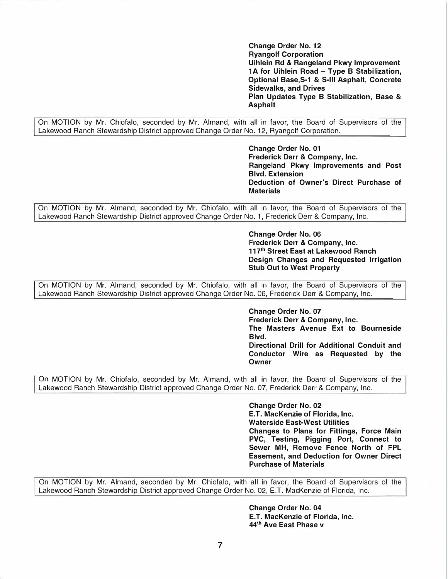**Change Order No. 12 Ryangolf Corporation Uihlein Rd & Rangeland Pkwy Improvement 1 A for Uihlein Road - Type B Stabilization, Optional Base,S-1 & S-111 Asphalt, Concrete Sidewalks, and Drives Plan Updates Type B Stabilization, Base & Asphalt** 

**On MOTION by Mr. Chiofalo, seconded by Mr. Almand, with all in favor, the Board of Supervisors of the Lakewood Ranch Stewardship District approved Change Order No. 12, Ryangolf Corporation.** 

> **Change Order No. 01 Frederick Derr & Company, Inc. Rangeland Pkwy Improvements and Post Blvd. Extension Deduction of Owner's Direct Purchase of Materials**

**On MOTION by Mr. Almand, seconded by Mr. Chiofalo, with all in favor, the Board of Supervisors of the Lakewood Ranch Stewardship District approved Change Order No. 1, Frederick Derr & Company, Inc.** 

> **Change Order No. 06 Frederick Derr & Company, Inc. 117th Street East at Lakewood Ranch Design Changes and Requested Irrigation Stub Out to West Property**

**On MOTION by Mr. Almand, seconded by Mr. Chiofalo, with all in favor, the Board of Supervisors of the Lakewood Ranch Stewardship District approved Change Order No. 06, Frederick Derr & Company, Inc.** 

> **Change Order No. 07 Frederick Derr & Company, Inc. The Masters Avenue Ext to Bourneside Blvd. Directional Drill for Additional Conduit and Conductor Wire as Requested by the Owner**

**On MOTION by Mr. Chiofalo, seconded by Mr. Almand, with all in favor, the Board of Supervisors of the Lakewood Ranch Stewardship District approved Change Order No. 07, Frederick Derr & Company, Inc.** 

> **Change Order No. 02 E.T. MacKenzie of Florida, Inc. Waterside East-West Utilities Changes to Plans for Fittings, Force Main PVC, Testing, Pigging Port, Connect to Sewer MH, Remove Fence North of FPL Easement, and Deduction for Owner Direct Purchase of Materials**

**On MOTION by Mr. Almand, seconded by Mr. Chiofalo, with all in favor, the Board of Supervisors of the Lakewood Ranch Stewardship District approved Change Order No. 02, E.T. MacKenzie of Florida, Inc.** 

> **Change Order No. 04 E.T. MacKenzie of Florida, Inc. 44th Ave East Phase v**